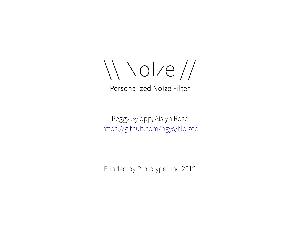\\ NoIze //

Peggy Sylopp, Aislyn Rose <https://github.com/pgys/NoIze/>

Funded by Prototypefund 2019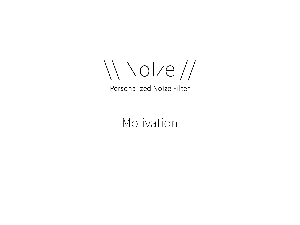\\ NoIze //

Motivation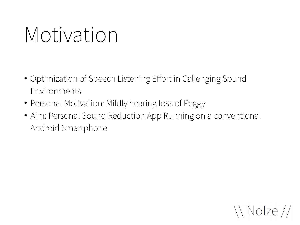# Motivation

- Optimization of Speech Listening Effort in Callenging Sound Environments
- Personal Motivation: Mildly hearing loss of Peggy
- Aim: Personal Sound Reduction App Running on a conventional Android Smartphone

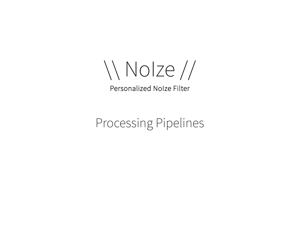\\ NoIze //

## Processing Pipelines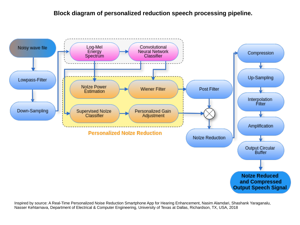#### **Block diagram of personalized reduction speech processing pipeline.**



Inspired by source: A Real-Time Personalized Noise Reduction Smartphone App for Hearing Enhancement, Nasim Alamdari, Shashank Yaraganalu, Nasser Kehtarnava, Department of Electrical & Computer Engineering, University of Texas at Dallas, Richardson, TX, USA, 2018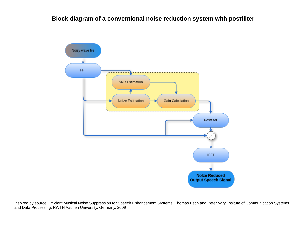#### **Block diagram of a conventional noise reduction system with postfilter**



Inspired by source: Efficiant Musical Noise Suppression for Speech Enhancement Systems, Thomas Esch and Peter Vary, Insitute of Communication Systems and Data Processing, RWTH Aachen University, Germany, 2009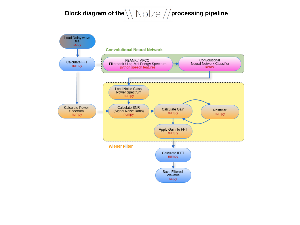### **Block diagram of the**  $\backslash\backslash\bigwedge\bigcirc\mid\mathcal{Z}\ominus\neq\mathcal{Z}$  **processing pipeline**

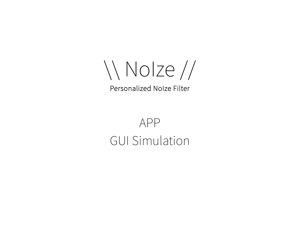\\ NoIze //

# APP GUI Simulation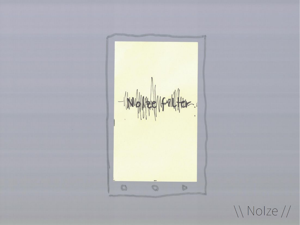

*Nolze //*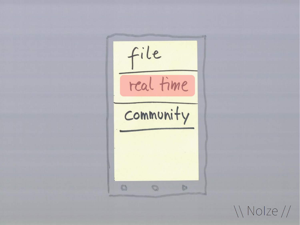file real time community  $\circ$   $\circ$ **Da** 

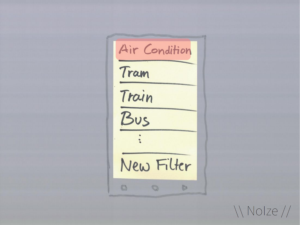Air Condition Tram Train  $Bus$ New Filter  $O$   $O$   $O$ 

*\\ Nolze //*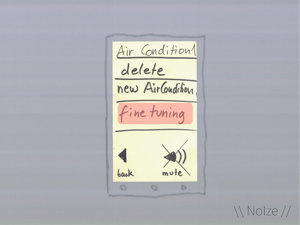Air Condition1 delete new AirCondition fine tuning  $m\nu$ te back  $\circ$ **It's** 

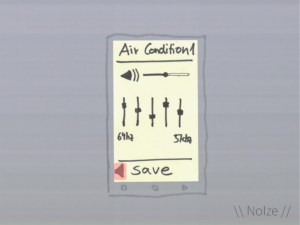

*Nolze //*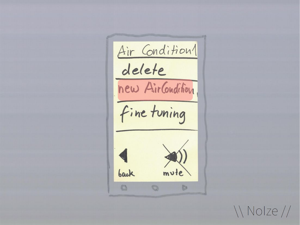Air Condition1 delete new AirCondition. fine tuning mute back  $\circ$   $\circ$ **ICa** 

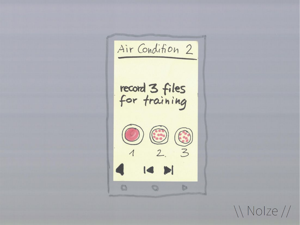Air Condition 2 record 3 files<br>for training  $\begin{picture}(120,15) \put(150,15){\line(1,0){155}} \put(150,15){\line(1,0){155}} \put(150,15){\line(1,0){155}} \put(150,15){\line(1,0){155}} \put(150,15){\line(1,0){155}} \put(150,15){\line(1,0){155}} \put(150,15){\line(1,0){155}} \put(150,15){\line(1,0){155}} \put(150,15){\line(1,0){155}} \put(150,15){\line(1,0){15$  $\circ$  $\circ$ **b** 

*Nolze //*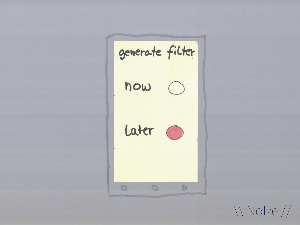generate filter  $now$ Later O  $\begin{array}{c} \n\mathbb{O} & \mathbb{I} \n\end{array}$  $\circ$ **b** 

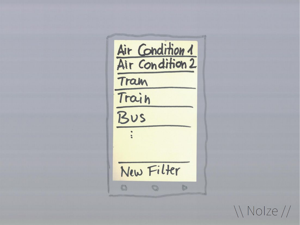Air Condition 1 Tram Train  $B\nu s$ New Filter **B** 

\\ Nolze //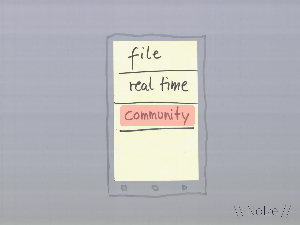file real time community  $\circ$   $\circ$ **Da** 

*Nolze* //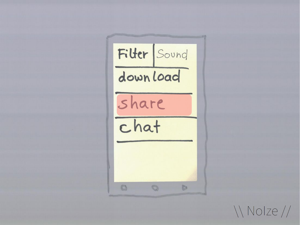

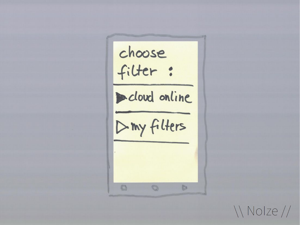*\\Nolze //*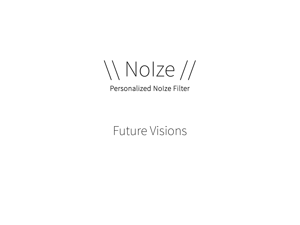\\ NoIze //

Future Visions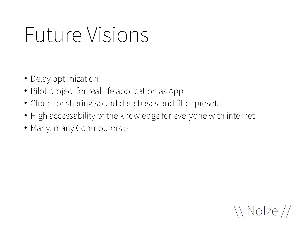# Future Visions

- Delay optimization
- Pilot project for real life application as App
- Cloud for sharing sound data bases and filter presets
- High accessability of the knowledge for everyone with internet
- Many, many Contributors :)

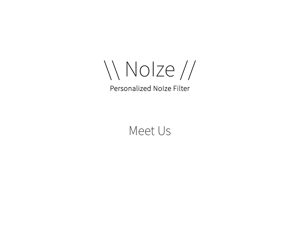\\ NoIze //

## Meet Us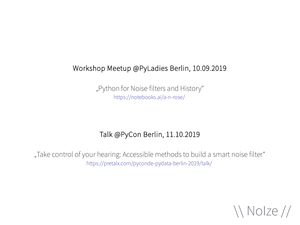### Workshop Meetup @PyLadies Berlin, 10.09.2019

"Python for Noise filters and History" <https://notebooks.ai/a-n-rose/>

### Talk @PyCon Berlin, 11.10.2019

"Take control of your hearing: Accessible methods to build a smart noise filter" <https://pretalx.com/pyconde-pydata-berlin-2019/talk/>

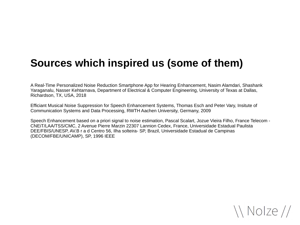## **Sources which inspired us (some of them)**

A Real-Time Personalized Noise Reduction Smartphone App for Hearing Enhancement, Nasim Alamdari, Shashank Yaraganalu, Nasser Kehtarnava, Department of Electrical & Computer Engineering, University of Texas at Dallas, Richardson, TX, USA, 2018

Efficiant Musical Noise Suppression for Speech Enhancement Systems, Thomas Esch and Peter Vary, Insitute of Communication Systems and Data Processing, RWTH Aachen University, Germany, 2009

Speech Enhancement based on a priori signal to noise estimation, Pascal Scalart, Jozue Vieira Filho, France Telecom - CNEiT/LAA/TSS/CMC, 2 Avenue Pierre Marzin 22307 Lannion Cedex, France, Universidade Estadual Paulista DEE/FBIS/UNESP, AV.B r a d Centro 56, Ilha solteira- SP, Brazil, Universidade Estadual de Campinas (DECOM/FBE/UNICAMP), SP, 1996 IEEE